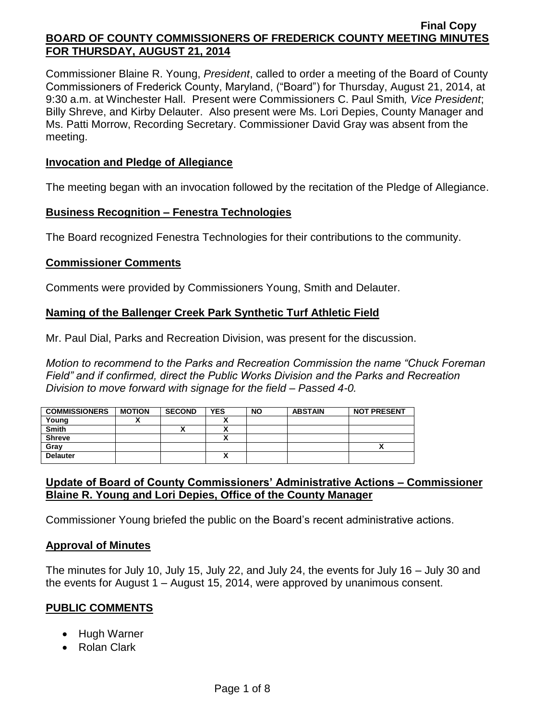Commissioner Blaine R. Young, *President*, called to order a meeting of the Board of County Commissioners of Frederick County, Maryland, ("Board") for Thursday, August 21, 2014, at 9:30 a.m. at Winchester Hall. Present were Commissioners C. Paul Smith*, Vice President*; Billy Shreve, and Kirby Delauter. Also present were Ms. Lori Depies, County Manager and Ms. Patti Morrow, Recording Secretary. Commissioner David Gray was absent from the meeting.

#### **Invocation and Pledge of Allegiance**

The meeting began with an invocation followed by the recitation of the Pledge of Allegiance.

#### **Business Recognition – Fenestra Technologies**

The Board recognized Fenestra Technologies for their contributions to the community.

#### **Commissioner Comments**

Comments were provided by Commissioners Young, Smith and Delauter.

## **Naming of the Ballenger Creek Park Synthetic Turf Athletic Field**

Mr. Paul Dial, Parks and Recreation Division, was present for the discussion.

*Motion to recommend to the Parks and Recreation Commission the name "Chuck Foreman Field" and if confirmed, direct the Public Works Division and the Parks and Recreation Division to move forward with signage for the field – Passed 4-0.*

| <b>COMMISSIONERS</b> | <b>MOTION</b> | <b>SECOND</b> | <b>YES</b> | <b>NO</b> | <b>ABSTAIN</b> | <b>NOT PRESENT</b> |
|----------------------|---------------|---------------|------------|-----------|----------------|--------------------|
| Young                |               |               |            |           |                |                    |
| <b>Smith</b>         |               |               |            |           |                |                    |
| <b>Shreve</b>        |               |               |            |           |                |                    |
| Gray                 |               |               |            |           |                | ,,                 |
| <b>Delauter</b>      |               |               |            |           |                |                    |

## **Update of Board of County Commissioners' Administrative Actions – Commissioner Blaine R. Young and Lori Depies, Office of the County Manager**

Commissioner Young briefed the public on the Board's recent administrative actions.

#### **Approval of Minutes**

The minutes for July 10, July 15, July 22, and July 24, the events for July 16 – July 30 and the events for August 1 – August 15, 2014, were approved by unanimous consent.

## **PUBLIC COMMENTS**

- Hugh Warner
- Rolan Clark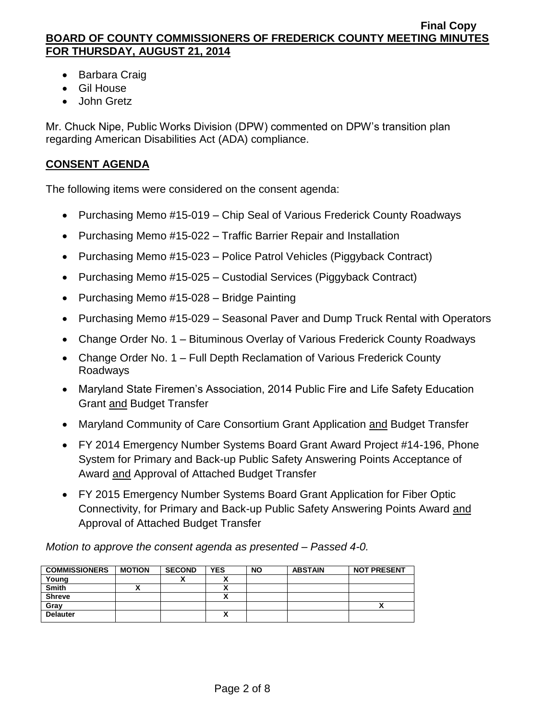- Barbara Craig
- Gil House
- John Gretz

Mr. Chuck Nipe, Public Works Division (DPW) commented on DPW's transition plan regarding American Disabilities Act (ADA) compliance.

# **CONSENT AGENDA**

The following items were considered on the consent agenda:

- Purchasing Memo #15-019 Chip Seal of Various Frederick County Roadways
- Purchasing Memo #15-022 Traffic Barrier Repair and Installation
- Purchasing Memo #15-023 Police Patrol Vehicles (Piggyback Contract)
- Purchasing Memo #15-025 Custodial Services (Piggyback Contract)
- Purchasing Memo #15-028 Bridge Painting
- Purchasing Memo #15-029 Seasonal Paver and Dump Truck Rental with Operators
- Change Order No. 1 Bituminous Overlay of Various Frederick County Roadways
- Change Order No. 1 Full Depth Reclamation of Various Frederick County Roadways
- Maryland State Firemen's Association, 2014 Public Fire and Life Safety Education Grant and Budget Transfer
- Maryland Community of Care Consortium Grant Application and Budget Transfer
- FY 2014 Emergency Number Systems Board Grant Award Project #14-196, Phone System for Primary and Back-up Public Safety Answering Points Acceptance of Award and Approval of Attached Budget Transfer
- FY 2015 Emergency Number Systems Board Grant Application for Fiber Optic Connectivity, for Primary and Back-up Public Safety Answering Points Award and Approval of Attached Budget Transfer

*Motion to approve the consent agenda as presented – Passed 4-0.*

| <b>COMMISSIONERS</b> | <b>MOTION</b> | <b>SECOND</b> | <b>YES</b> | <b>NO</b> | <b>ABSTAIN</b> | <b>NOT PRESENT</b> |
|----------------------|---------------|---------------|------------|-----------|----------------|--------------------|
| Young                |               | ^             |            |           |                |                    |
| <b>Smith</b>         |               |               |            |           |                |                    |
| <b>Shreve</b>        |               |               |            |           |                |                    |
| Grav                 |               |               |            |           |                |                    |
| <b>Delauter</b>      |               |               |            |           |                |                    |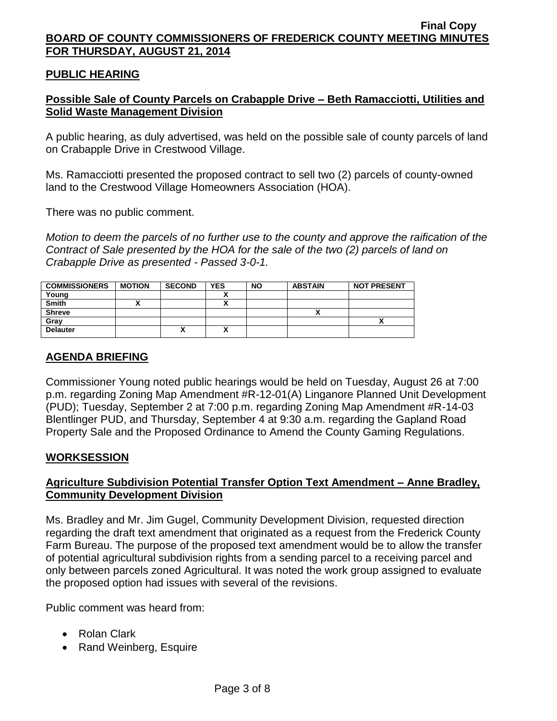## **PUBLIC HEARING**

# **Possible Sale of County Parcels on Crabapple Drive – Beth Ramacciotti, Utilities and Solid Waste Management Division**

A public hearing, as duly advertised, was held on the possible sale of county parcels of land on Crabapple Drive in Crestwood Village.

Ms. Ramacciotti presented the proposed contract to sell two (2) parcels of county-owned land to the Crestwood Village Homeowners Association (HOA).

There was no public comment.

*Motion to deem the parcels of no further use to the county and approve the raification of the Contract of Sale presented by the HOA for the sale of the two (2) parcels of land on Crabapple Drive as presented - Passed 3-0-1.*

| <b>COMMISSIONERS</b> | <b>MOTION</b> | <b>SECOND</b> | <b>YES</b> | <b>NO</b> | <b>ABSTAIN</b> | <b>NOT PRESENT</b> |
|----------------------|---------------|---------------|------------|-----------|----------------|--------------------|
| Young                |               |               |            |           |                |                    |
| <b>Smith</b>         |               |               |            |           |                |                    |
| <b>Shreve</b>        |               |               |            |           |                |                    |
| Gray                 |               |               |            |           |                |                    |
| <b>Delauter</b>      |               | ́             | A          |           |                |                    |

# **AGENDA BRIEFING**

Commissioner Young noted public hearings would be held on Tuesday, August 26 at 7:00 p.m. regarding Zoning Map Amendment #R-12-01(A) Linganore Planned Unit Development (PUD); Tuesday, September 2 at 7:00 p.m. regarding Zoning Map Amendment #R-14-03 Blentlinger PUD, and Thursday, September 4 at 9:30 a.m. regarding the Gapland Road Property Sale and the Proposed Ordinance to Amend the County Gaming Regulations.

## **WORKSESSION**

# **Agriculture Subdivision Potential Transfer Option Text Amendment – Anne Bradley, Community Development Division**

Ms. Bradley and Mr. Jim Gugel, Community Development Division, requested direction regarding the draft text amendment that originated as a request from the Frederick County Farm Bureau. The purpose of the proposed text amendment would be to allow the transfer of potential agricultural subdivision rights from a sending parcel to a receiving parcel and only between parcels zoned Agricultural. It was noted the work group assigned to evaluate the proposed option had issues with several of the revisions.

Public comment was heard from:

- Rolan Clark
- Rand Weinberg, Esquire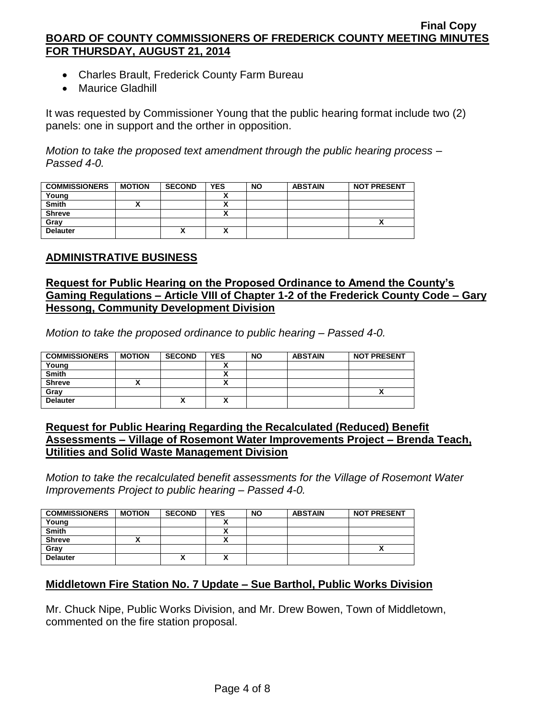- Charles Brault, Frederick County Farm Bureau
- Maurice Gladhill

It was requested by Commissioner Young that the public hearing format include two (2) panels: one in support and the orther in opposition.

*Motion to take the proposed text amendment through the public hearing process – Passed 4-0.*

| <b>COMMISSIONERS</b> | <b>MOTION</b> | <b>SECOND</b> | <b>YES</b> | <b>NO</b> | <b>ABSTAIN</b> | <b>NOT PRESENT</b> |
|----------------------|---------------|---------------|------------|-----------|----------------|--------------------|
| Young                |               |               |            |           |                |                    |
| <b>Smith</b>         |               |               |            |           |                |                    |
| <b>Shreve</b>        |               |               |            |           |                |                    |
| Gray                 |               |               |            |           |                |                    |
| <b>Delauter</b>      |               | `<br>Λ        |            |           |                |                    |

## **ADMINISTRATIVE BUSINESS**

## **Request for Public Hearing on the Proposed Ordinance to Amend the County's Gaming Regulations – Article VIII of Chapter 1-2 of the Frederick County Code – Gary Hessong, Community Development Division**

*Motion to take the proposed ordinance to public hearing – Passed 4-0.*

| <b>COMMISSIONERS</b> | <b>MOTION</b> | <b>SECOND</b> | <b>YES</b> | <b>NO</b> | <b>ABSTAIN</b> | <b>NOT PRESENT</b> |
|----------------------|---------------|---------------|------------|-----------|----------------|--------------------|
| Young                |               |               |            |           |                |                    |
| <b>Smith</b>         |               |               |            |           |                |                    |
| <b>Shreve</b>        |               |               |            |           |                |                    |
| Gray                 |               |               |            |           |                |                    |
| <b>Delauter</b>      |               | "             | Λ          |           |                |                    |

## **Request for Public Hearing Regarding the Recalculated (Reduced) Benefit Assessments – Village of Rosemont Water Improvements Project – Brenda Teach, Utilities and Solid Waste Management Division**

*Motion to take the recalculated benefit assessments for the Village of Rosemont Water Improvements Project to public hearing – Passed 4-0.*

| <b>COMMISSIONERS</b> | <b>MOTION</b> | <b>SECOND</b> | <b>YES</b> | <b>NO</b> | <b>ABSTAIN</b> | <b>NOT PRESENT</b> |
|----------------------|---------------|---------------|------------|-----------|----------------|--------------------|
| Young                |               |               |            |           |                |                    |
| <b>Smith</b>         |               |               |            |           |                |                    |
| <b>Shreve</b>        |               |               | ~          |           |                |                    |
| Grav                 |               |               |            |           |                | Λ                  |
| <b>Delauter</b>      |               | ́             |            |           |                |                    |

## **Middletown Fire Station No. 7 Update – Sue Barthol, Public Works Division**

Mr. Chuck Nipe, Public Works Division, and Mr. Drew Bowen, Town of Middletown, commented on the fire station proposal.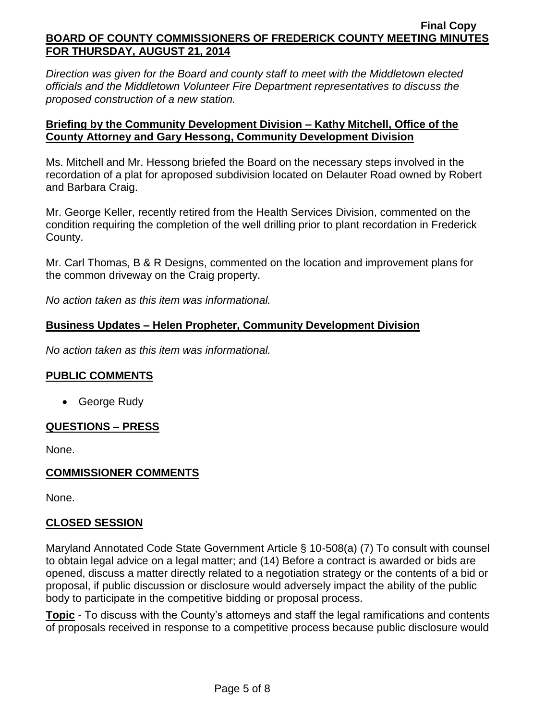*Direction was given for the Board and county staff to meet with the Middletown elected officials and the Middletown Volunteer Fire Department representatives to discuss the proposed construction of a new station.*

## **Briefing by the Community Development Division – Kathy Mitchell, Office of the County Attorney and Gary Hessong, Community Development Division**

Ms. Mitchell and Mr. Hessong briefed the Board on the necessary steps involved in the recordation of a plat for aproposed subdivision located on Delauter Road owned by Robert and Barbara Craig.

Mr. George Keller, recently retired from the Health Services Division, commented on the condition requiring the completion of the well drilling prior to plant recordation in Frederick County.

Mr. Carl Thomas, B & R Designs, commented on the location and improvement plans for the common driveway on the Craig property.

*No action taken as this item was informational.*

# **Business Updates – Helen Propheter, Community Development Division**

*No action taken as this item was informational.*

## **PUBLIC COMMENTS**

• George Rudy

## **QUESTIONS – PRESS**

None.

## **COMMISSIONER COMMENTS**

None.

## **CLOSED SESSION**

Maryland Annotated Code State Government Article § 10-508(a) (7) To consult with counsel to obtain legal advice on a legal matter; and (14) Before a contract is awarded or bids are opened, discuss a matter directly related to a negotiation strategy or the contents of a bid or proposal, if public discussion or disclosure would adversely impact the ability of the public body to participate in the competitive bidding or proposal process.

**Topic** - To discuss with the County's attorneys and staff the legal ramifications and contents of proposals received in response to a competitive process because public disclosure would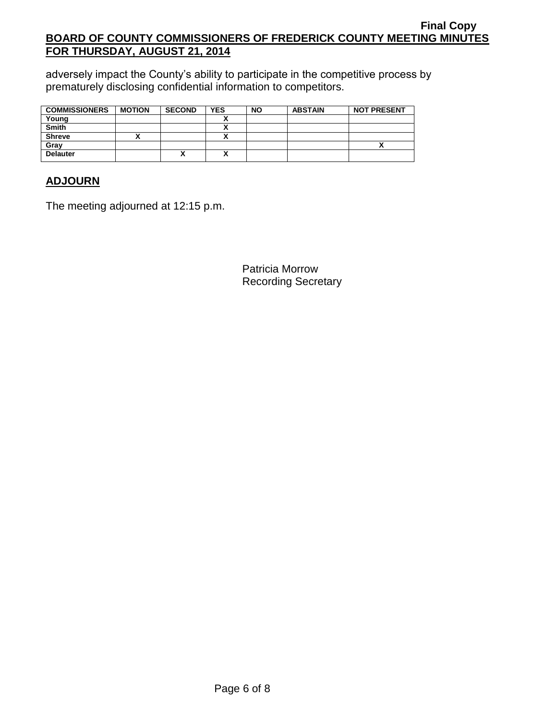adversely impact the County's ability to participate in the competitive process by prematurely disclosing confidential information to competitors.

| <b>COMMISSIONERS</b> | <b>MOTION</b> | <b>SECOND</b> | <b>YES</b> | <b>NO</b> | <b>ABSTAIN</b> | <b>NOT PRESENT</b> |
|----------------------|---------------|---------------|------------|-----------|----------------|--------------------|
| Young                |               |               |            |           |                |                    |
| <b>Smith</b>         |               |               |            |           |                |                    |
| <b>Shreve</b>        |               |               |            |           |                |                    |
| Gray                 |               |               |            |           |                |                    |
| <b>Delauter</b>      |               | Λ             |            |           |                |                    |

# **ADJOURN**

The meeting adjourned at 12:15 p.m.

Patricia Morrow Recording Secretary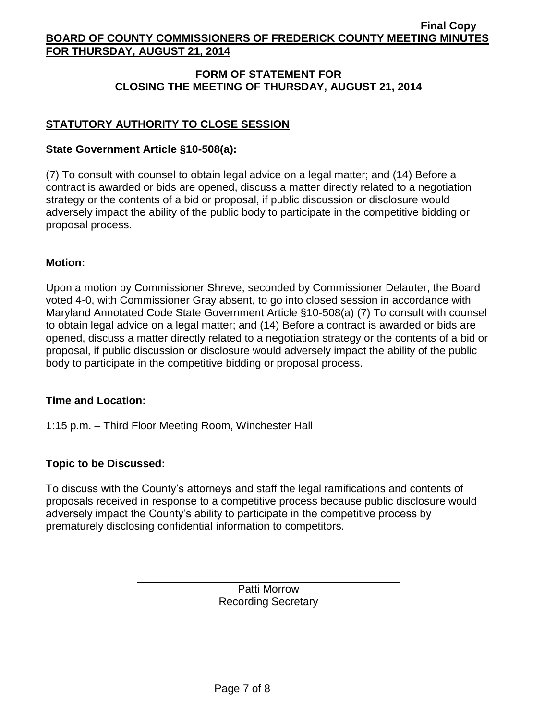## **FORM OF STATEMENT FOR CLOSING THE MEETING OF THURSDAY, AUGUST 21, 2014**

# **STATUTORY AUTHORITY TO CLOSE SESSION**

#### **State Government Article §10-508(a):**

(7) To consult with counsel to obtain legal advice on a legal matter; and (14) Before a contract is awarded or bids are opened, discuss a matter directly related to a negotiation strategy or the contents of a bid or proposal, if public discussion or disclosure would adversely impact the ability of the public body to participate in the competitive bidding or proposal process.

#### **Motion:**

Upon a motion by Commissioner Shreve, seconded by Commissioner Delauter, the Board voted 4-0, with Commissioner Gray absent, to go into closed session in accordance with Maryland Annotated Code State Government Article §10-508(a) (7) To consult with counsel to obtain legal advice on a legal matter; and (14) Before a contract is awarded or bids are opened, discuss a matter directly related to a negotiation strategy or the contents of a bid or proposal, if public discussion or disclosure would adversely impact the ability of the public body to participate in the competitive bidding or proposal process.

## **Time and Location:**

1:15 p.m. – Third Floor Meeting Room, Winchester Hall

## **Topic to be Discussed:**

To discuss with the County's attorneys and staff the legal ramifications and contents of proposals received in response to a competitive process because public disclosure would adversely impact the County's ability to participate in the competitive process by prematurely disclosing confidential information to competitors.

> Patti Morrow Recording Secretary